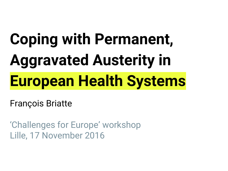# **Coping with Permanent, Aggravated Austerity in European Health Systems**

François Briatte

'Challenges for Europe' workshop Lille, 17 November 2016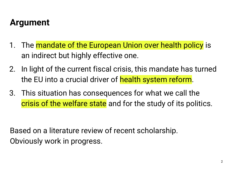# **Argument**

- 1. The mandate of the European Union over health policy is an indirect but highly effective one.
- 2. In light of the current fiscal crisis, this mandate has turned the EU into a crucial driver of health system reform.
- 3. This situation has consequences for what we call the crisis of the welfare state and for the study of its politics.

Based on a literature review of recent scholarship. Obviously work in progress.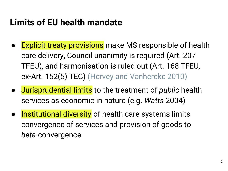# **Limits of EU health mandate**

- **Explicit treaty provisions** make MS responsible of health care delivery, Council unanimity is required (Art. 207 TFEU), and harmonisation is ruled out (Art. 168 TFEU, ex-Art. 152(5) TEC) (Hervey and Vanhercke 2010)
- Jurisprudential limits to the treatment of *public* health services as economic in nature (e.g. *Watts* 2004)
- Institutional diversity of health care systems limits convergence of services and provision of goods to *beta*-convergence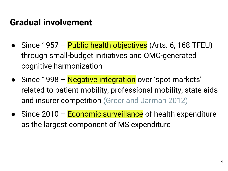## **Gradual involvement**

- Since 1957 Public health objectives (Arts. 6, 168 TFEU) through small-budget initiatives and OMC-generated cognitive harmonization
- Since 1998 Negative integration over 'spot markets' related to patient mobility, professional mobility, state aids and insurer competition (Greer and Jarman 2012)
- Since 2010 Economic surveillance of health expenditure as the largest component of MS expenditure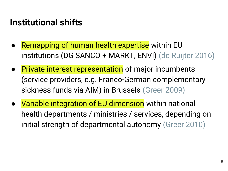# **Institutional shifts**

- **Remapping of human health expertise within EU** institutions (DG SANCO + MARKT, ENVI) (de Ruijter 2016)
- Private interest representation of major incumbents (service providers, e.g. Franco-German complementary sickness funds via AIM) in Brussels (Greer 2009)
- Variable integration of EU dimension within national health departments / ministries / services, depending on initial strength of departmental autonomy (Greer 2010)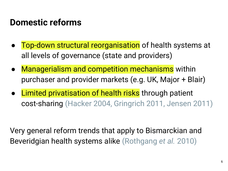## **Domestic reforms**

- Top-down structural reorganisation of health systems at all levels of governance (state and providers)
- Managerialism and competition mechanisms within purchaser and provider markets (e.g. UK, Major + Blair)
- **Limited privatisation of health risks through patient** cost-sharing (Hacker 2004, Gringrich 2011, Jensen 2011)

Very general reform trends that apply to Bismarckian and Beveridgian health systems alike (Rothgang *et al.* 2010)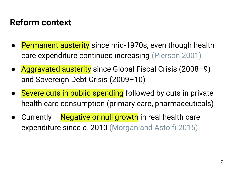# **Reform context**

- **Permanent austerity** since mid-1970s, even though health care expenditure continued increasing (Pierson 2001)
- Aggravated austerity since Global Fiscal Crisis (2008–9) and Sovereign Debt Crisis (2009–10)
- Severe cuts in public spending followed by cuts in private health care consumption (primary care, pharmaceuticals)
- Currently Negative or null growth in real health care expenditure since *c.* 2010 (Morgan and Astolfi 2015)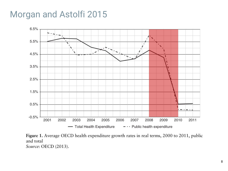#### Morgan and Astolfi 2015



Figure 1. Average OECD health expenditure growth rates in real terms, 2000 to 2011, public and total Source: OECD (2013).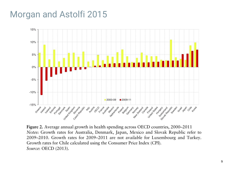#### Morgan and Astolfi 2015



Figure 2. Average annual growth in health spending across OECD countries, 2000-2011 Notes: Growth rates for Australia, Denmark, Japan, Mexico and Slovak Republic refer to 2009-2010. Growth rates for 2009-2011 are not available for Luxembourg and Turkey. Growth rates for Chile calculated using the Consumer Price Index (CPI). Source: OECD (2013).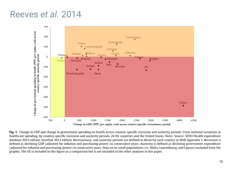#### Reeves *et al.* 2014



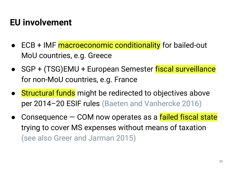# **EU involvement**

- ECB + IMF macroeconomic conditionality for bailed-out MoU countries, e.g. Greece
- SGP + (TSG)EMU + European Semester fiscal surveillance for non-MoU countries, e.g. France
- Structural funds might be redirected to objectives above per 2014–20 ESIF rules (Baeten and Vanhercke 2016)
- Consequence COM now operates as a failed fiscal state trying to cover MS expenses without means of taxation (see also Greer and Jarman 2015)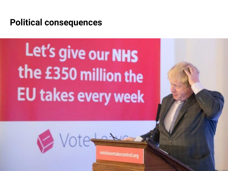#### **Political consequences**

Let's give our NHS the £350 million the **EU takes every week** 

Votes

voteleavetakecontrol.org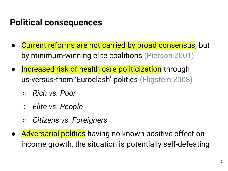# **Political consequences**

- Current reforms are not carried by broad consensus, but by minimum-winning elite coalitions (Pierson 2001)
- Increased risk of health care politicization through us-versus-them 'Euroclash' politics (Fligstein 2008)
	- *○ Rich vs. Poor*
	- *○ Elite vs. People*
	- *○ Citizens vs. Foreigners*
- Adversarial politics having no known positive effect on income growth, the situation is potentially self-defeating